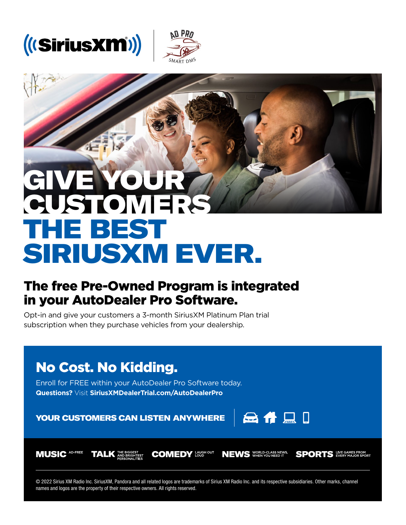



# GIVE YOUR **CONTEN** THE BEST SIRIUSXM EVER.

### The free Pre-Owned Program is integrated in your AutoDealer Pro Software.

Opt-in and give your customers a 3-month SiriusXM Platinum Plan trial subscription when they purchase vehicles from your dealership.



© 2022 Sirius XM Radio Inc. SiriusXM, Pandora and all related logos are trademarks of Sirius XM Radio Inc. and its respective subsidiaries. Other marks, channel names and logos are the property of their respective owners. All rights reserved.